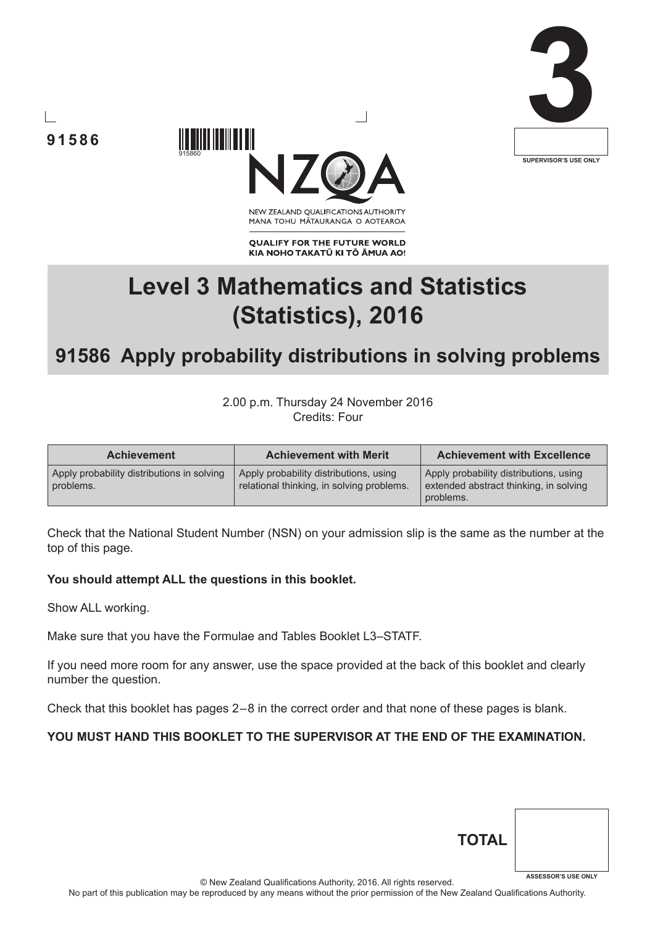





NEW ZEALAND OUALIFICATIONS AUTHORITY MANA TOHU MĀTAURANGA O AOTEAROA

**QUALIFY FOR THE FUTURE WORLD** KIA NOHO TAKATŪ KI TŌ ĀMUA AO!

# **Level 3 Mathematics and Statistics (Statistics), 2016**

## **91586 Apply probability distributions in solving problems**

2.00 p.m. Thursday 24 November 2016 Credits: Four

| <b>Achievement</b>                                      | <b>Achievement with Merit</b>                                                       | <b>Achievement with Excellence</b>                                                            |
|---------------------------------------------------------|-------------------------------------------------------------------------------------|-----------------------------------------------------------------------------------------------|
| Apply probability distributions in solving<br>problems. | Apply probability distributions, using<br>relational thinking, in solving problems. | Apply probability distributions, using<br>extended abstract thinking, in solving<br>problems. |

Check that the National Student Number (NSN) on your admission slip is the same as the number at the top of this page.

### **You should attempt ALL the questions in this booklet.**

915860

Show ALL working.

Make sure that you have the Formulae and Tables Booklet L3–STATF.

If you need more room for any answer, use the space provided at the back of this booklet and clearly number the question.

Check that this booklet has pages 2 – 8 in the correct order and that none of these pages is blank.

### **YOU MUST HAND THIS BOOKLET TO THE SUPERVISOR AT THE END OF THE EXAMINATION.**

| <b>TOTAL</b> |                            |
|--------------|----------------------------|
|              | <b>ASSESSOR'S USE ONLY</b> |

© New Zealand Qualifications Authority, 2016. All rights reserved.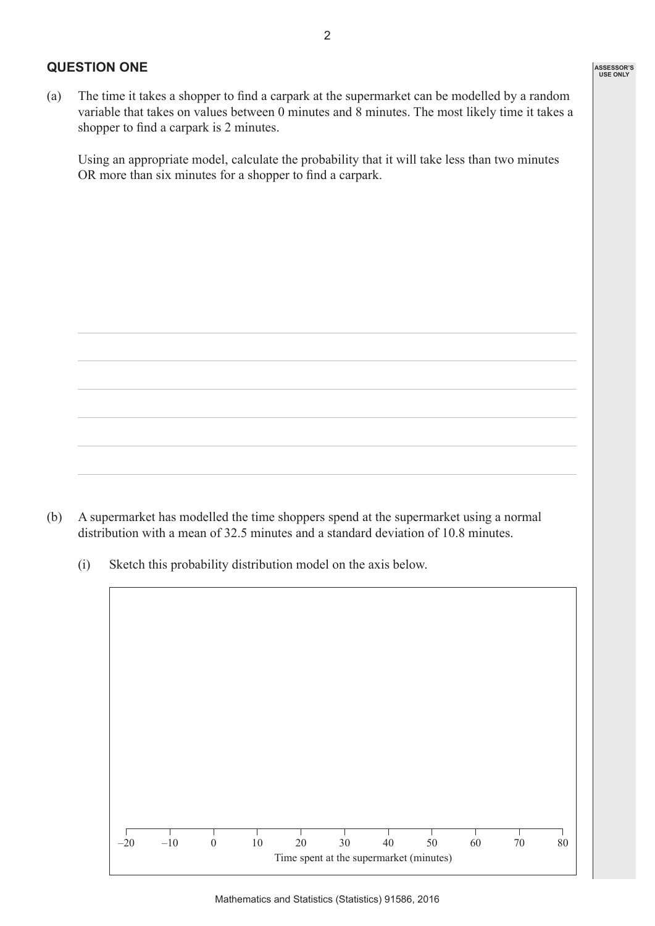#### **QUESTION ONE**

(a) The time it takes a shopper to find a carpark at the supermarket can be modelled by a random variable that takes on values between 0 minutes and 8 minutes. The most likely time it takes a shopper to find a carpark is 2 minutes.

 Using an appropriate model, calculate the probability that it will take less than two minutes OR more than six minutes for a shopper to find a carpark.

(b) A supermarket has modelled the time shoppers spend at the supermarket using a normal distribution with a mean of 32.5 minutes and a standard deviation of 10.8 minutes.

 (i) Sketch this probability distribution model on the axis below.

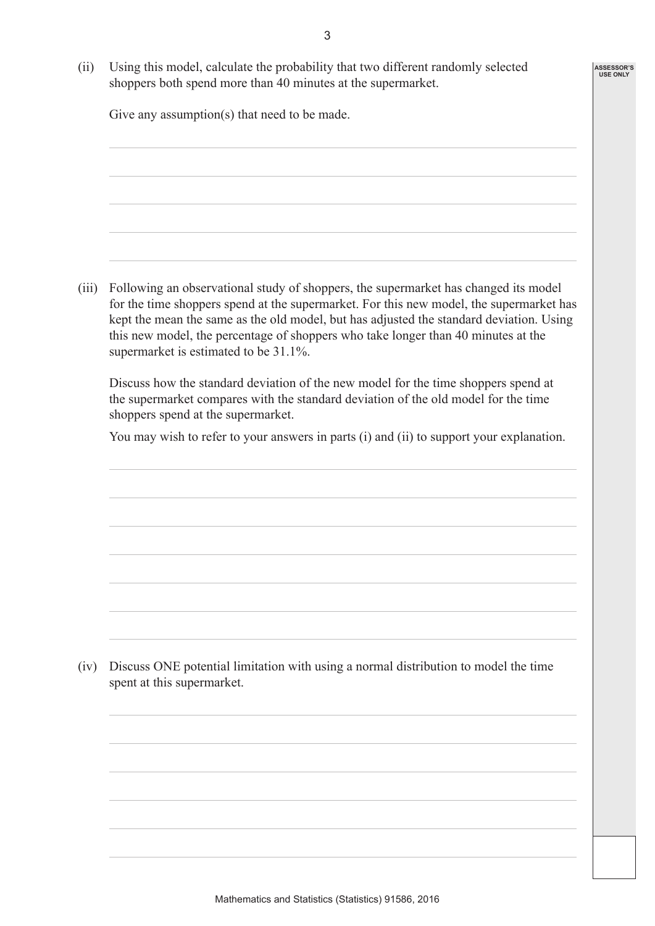**ASSESSOR'S USE ONLY**

 (ii) Using this model, calculate the probability that two different randomly selected shoppers both spend more than 40 minutes at the supermarket.

Give any assumption(s) that need to be made.

 (iii) Following an observational study of shoppers, the supermarket has changed its model for the time shoppers spend at the supermarket. For this new model, the supermarket has kept the mean the same as the old model, but has adjusted the standard deviation. Using this new model, the percentage of shoppers who take longer than 40 minutes at the supermarket is estimated to be 31.1%.

 Discuss how the standard deviation of the new model for the time shoppers spend at the supermarket compares with the standard deviation of the old model for the time shoppers spend at the supermarket.

You may wish to refer to your answers in parts (i) and (ii) to support your explanation.

 (iv) Discuss ONE potential limitation with using a normal distribution to model the time spent at this supermarket.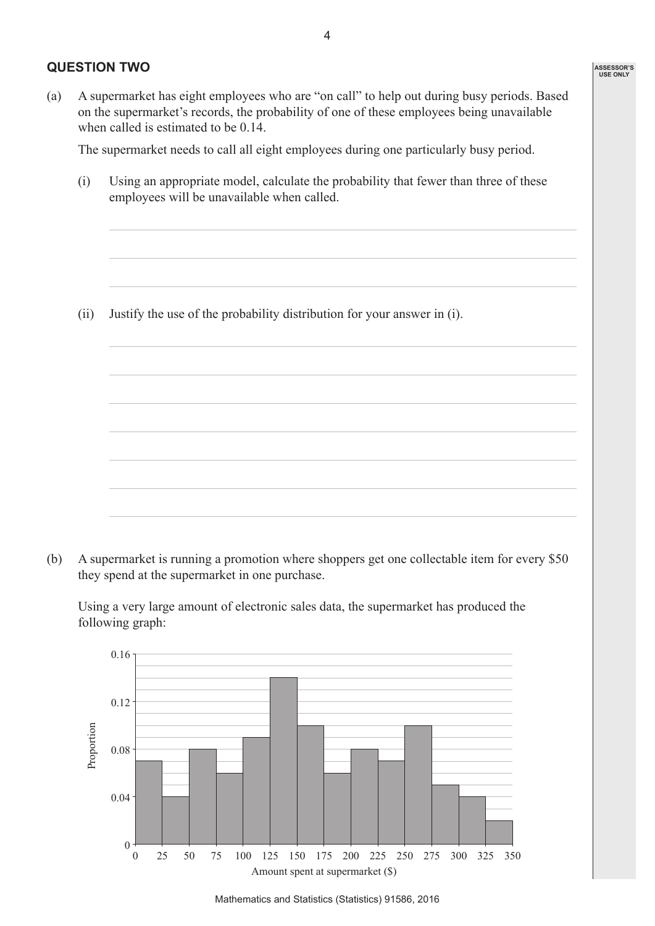### **QUESTION TWO**

(a) A supermarket has eight employees who are "on call" to help out during busy periods. Based on the supermarket's records, the probability of one of these employees being unavailable when called is estimated to be 0.14.

 The supermarket needs to call all eight employees during one particularly busy period.

 (i) Using an appropriate model, calculate the probability that fewer than three of these employees will be unavailable when called.

 (ii) Justify the use of the probability distribution for your answer in (i).

(b) A supermarket is running a promotion where shoppers get one collectable item for every \$50 they spend at the supermarket in one purchase.

 Using a very large amount of electronic sales data, the supermarket has produced the following graph:



**ASSESSOR'S USE ONLY**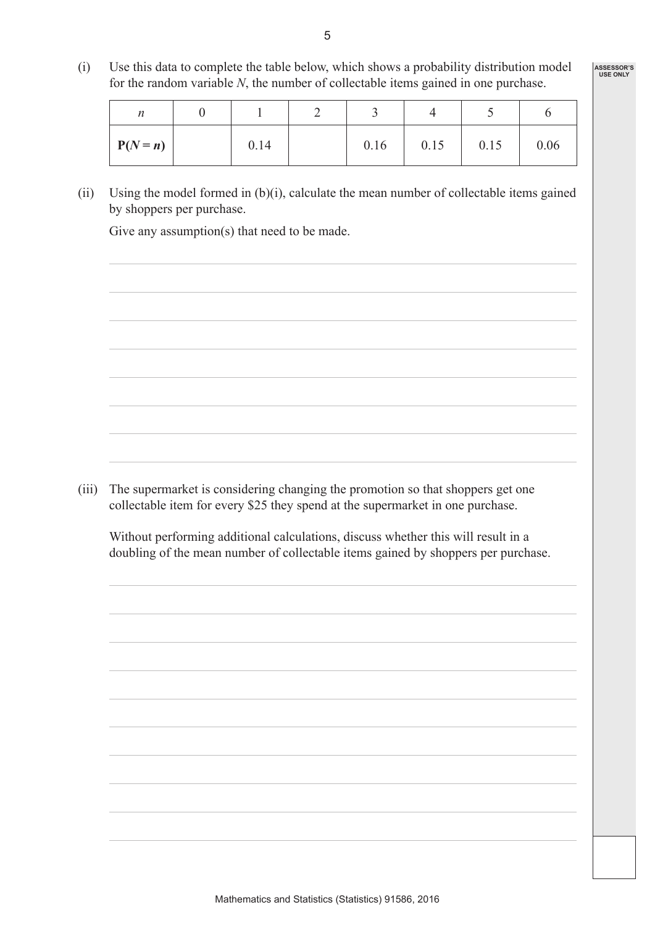(i) Use this data to complete the table below, which shows a probability distribution model for the random variable *N*, the number of collectable items gained in one purchase.

**ASSESSOR'S USE ONLY**

| n          |      |      |      |      |      |
|------------|------|------|------|------|------|
| $P(N = n)$ | 0.14 | 0.16 | 0.15 | 0.15 | 0.06 |

(ii) Using the model formed in  $(b)(i)$ , calculate the mean number of collectable items gained by shoppers per purchase.

Give any assumption(s) that need to be made.

(iii) The supermarket is considering changing the promotion so that shoppers get one collectable item for every \$25 they spend at the supermarket in one purchase.

 Without performing additional calculations, discuss whether this will result in a doubling of the mean number of collectable items gained by shoppers per purchase.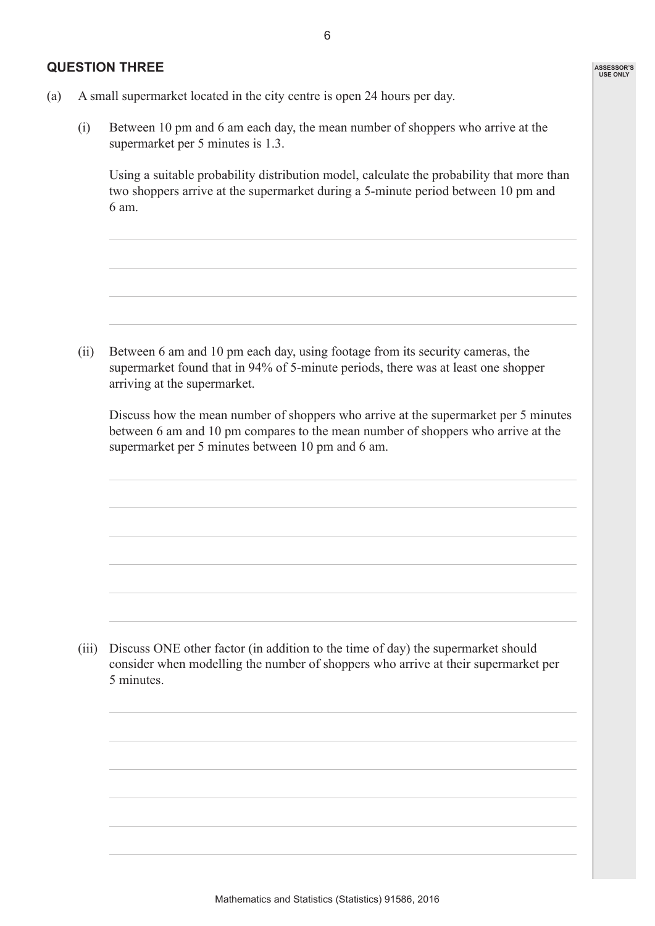#### **QUESTION THREE**

**ASSESSOR'S USE ONLY**

- (a) A small supermarket located in the city centre is open 24 hours per day.
	- (i) Between 10 pm and 6 am each day, the mean number of shoppers who arrive at the supermarket per 5 minutes is 1.3.

 Using a suitable probability distribution model, calculate the probability that more than two shoppers arrive at the supermarket during a 5-minute period between 10 pm and 6 am.

 (ii) Between 6 am and 10 pm each day, using footage from its security cameras, the supermarket found that in 94% of 5-minute periods, there was at least one shopper arriving at the supermarket.

 Discuss how the mean number of shoppers who arrive at the supermarket per 5 minutes between 6 am and 10 pm compares to the mean number of shoppers who arrive at the supermarket per 5 minutes between 10 pm and 6 am.

(iii) Discuss ONE other factor (in addition to the time of day) the supermarket should consider when modelling the number of shoppers who arrive at their supermarket per 5 minutes.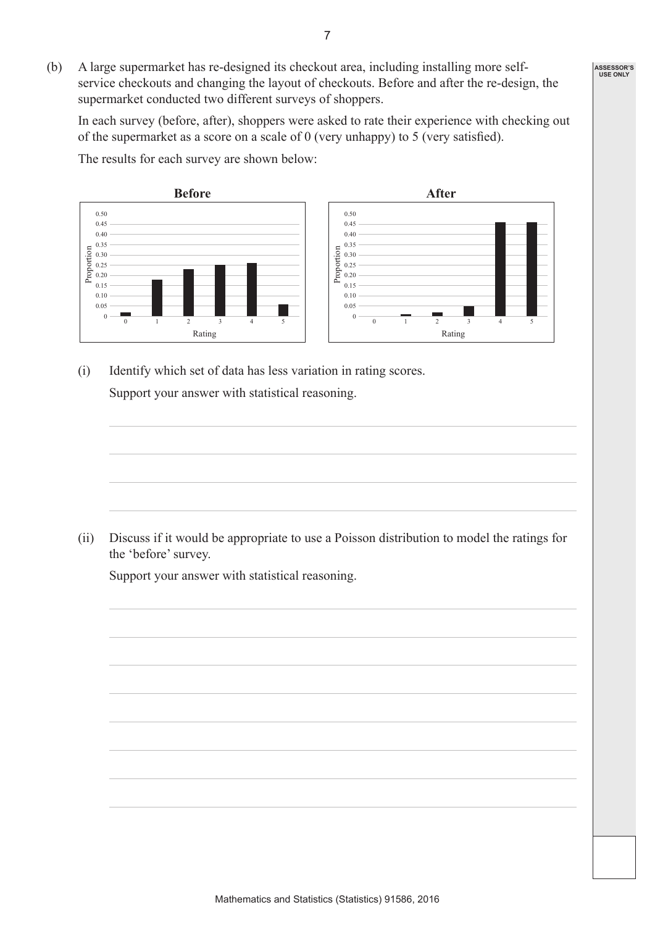(b) A large supermarket has re-designed its checkout area, including installing more selfservice checkouts and changing the layout of checkouts. Before and after the re-design, the supermarket conducted two different surveys of shoppers.

 In each survey (before, after), shoppers were asked to rate their experience with checking out of the supermarket as a score on a scale of 0 (very unhappy) to 5 (very satisfied).

 $0 \frac{1}{0}$ 0.05 0.10 0.15 0.20 0.25 0.30  $\frac{6}{100}$  0.35<br>  $\frac{0.35}{0.25}$  0.25<br>  $\frac{0.25}{0.20}$ 0.40 0.45 0.50 1 2 Rating  $\begin{array}{|c|c|c|c|c|}\n\hline\n3 & 4 & 5 & \end{array}$  0  $\begin{array}{|c|c|c|c|c|}\n\hline\n0 & 0 & 0 \\
\hline\n\end{array}$ 0.05 0.10 0.15 0.20 0.25 0.30  $\begin{bmatrix} 0.35 \\ 0.30 \\ 0.25 \\ 0.20 \\ \end{bmatrix}$ 0.40 0.45 0.50 1 2 Rating 3 4 5 **Before After**

 The results for each survey are shown below:

 (i) Identify which set of data has less variation in rating scores. Support your answer with statistical reasoning.

 (ii) Discuss if it would be appropriate to use a Poisson distribution to model the ratings for the 'before' survey.

 Support your answer with statistical reasoning.

**ASSESSOR'S USE ONLY**